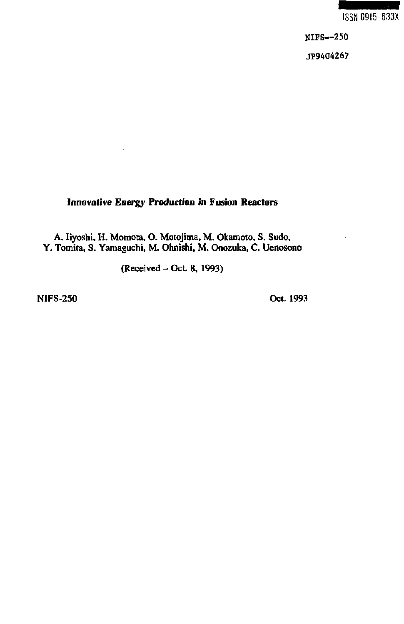

NIFS--250

JP9404267

## **Innovative Energy Production in Fusion Reactors**

 $\mathcal{L}_{\text{max}}$  and  $\mathcal{L}_{\text{max}}$  are the set of the set of the set of the set of the set of the  $\mathcal{L}_{\text{max}}$ 

A. Iiyoshi, H. Momota, O. Motojima, M. Okamoto, S. Sudo, Y. Tomita, S. Yamaguchi, M. Ohnishi, M. Onozuka, C. Uenosono

(Received - Oct. 8, 1993)

**NIFS-250 Oct.** 1993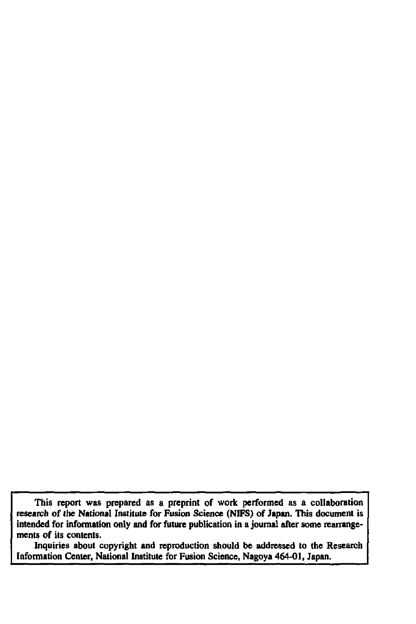**This report was prepared as a preprint of work performed as a collaboration research of the National Institute for Fusion Science (NIFS) of Japan. This document is intended for infonnation only and for future publication in a journal after some rearrangements of its contents.** 

**Inquiries about copyright and reproduction should be addressed to the Research Information Center, National Institute for Fusion Science, Nagoya 464-01, Japan.**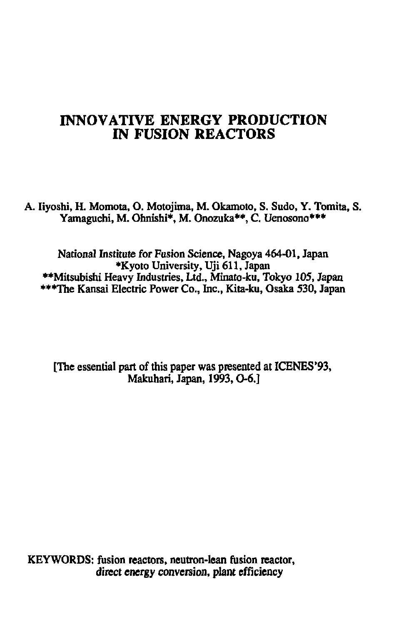# **INNOVATIVE ENERGY PRODUCTION IN FUSION REACTORS**

**A. Iiyoshi, H. Momota, O. Motojima, M. Okamoto, S. Sudo, Y. Tomita, S. Yamaguchi, M. Ohnishi\*, M. Onozuka\*\*, C. Uenosono\*\*\*** 

**National Institute for Fusion Science, Nagoya 464-01, Japan •Kyoto University, Uji 611, Japan "•Mitsubishi Heavy Industries, Ltd., Minato-ku, Tokyo 105, Japan \*\*\*The Kansai Electric Power Co., Inc., Kita-ku, Osaka 530, Japan** 

**[The essential part of this paper was presented at ICENES'93, Makuhari, Japan, 1993,0-6.]** 

**KEYWORDS: fusion reactors, neutron-lean fusion reactor, direct energy conversion, plant efficiency**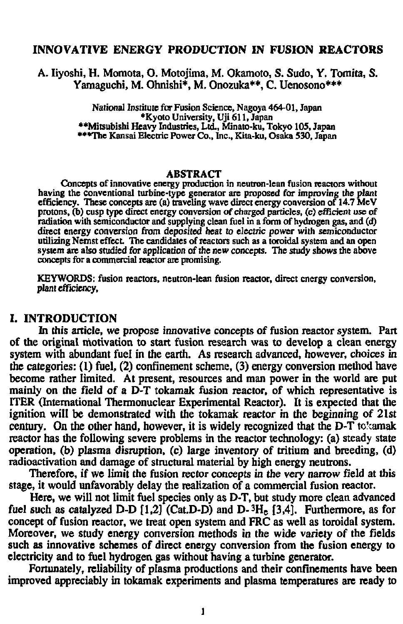#### **INNOVATIVE ENERGY PRODUCTION IN FUSION REACTORS**

A. Iiyoshi, H. Momota, O. Motojima, M. Okamoto, S. Sudo, Y. Tomita, S. Yamaguchi, M. Ohnishi\*, M. Onozuka\*\*, C. Uenosono\*\*\*

> **National Institute for Fusion Science, Nagoya 464-01, Japan "Kyoto University, Uji 611, Japan "Mitsubishi Heavy Industries, Ltd., Minato-ku, Tokyo 105, Japan \*\*\*The Kansai Electric Power Co., Inc., Kita-ku, Osaka 530, Japan**

#### **ABSTRACT**

**Concepts of innovative energy production in neutron-lean fusion reactors without having the conventional turbine-type generator are proposed for improving the plant efficiency. These concepts are (a) traveling wave direct energy conversion of 14.7 MeV protons, (b) cusp type direct energy conversion of charged particles, (c) efficient use of radiation with semiconductor and supplying clean fuel in a form of hydrogen gas, and (d) direct energy conversion from deposited beat to electric power with semiconductor utilizing Nernst effect. The candidates of reactors such as a toroidal system and an open system are also studied for application of the new concepts. The study shows the above concepts for a commercial reactor are promising.** 

**KEYWORDS: fusion reactors, neutron-lean fusion reactor, direct energy conversion, plant efficiency,** 

# I. **INTRODUCTION**

In this article, we propose innovative concepts of fusion reactor system. Part of the original motivation to start fusion research was to develop a clean energy system with abundant fuel in the earth. As research advanced, however, choices in the categories: (1) fuel, (2) confinement scheme, (3) energy conversion method have become rather limited. At present, resources and man power in the world are put mainly on the field of a D-T tokamak fusion reactor, of which representative is ITER (International Thermonuclear Experimental Reactor). It is expected that the ignition will be demonstrated with the tokamak reactor in the beginning of 21st century. On the other hand, however, it is widely recognized that the D-T to'camak reactor has the following severe problems in the reactor technology: (a) steady state operation, (b) plasma disruption, (c) large inventory of tritium and breeding, (d) radioactivation and damage of structural material by high energy neutrons.

Therefore, if we limit the fusion rector concepts in the *very* narrow field at this stage, it would unfavorably delay the realization of a commercial fusion reactor.

Here, we will not limit fuel species only as D-T, but study more clean advanced fuel such as catalyzed  $D-D$  [1,2] (Cat.D-D) and  $D-3H_c$  [3,4]. Furthermore, as for concept of fusion reactor, we treat open system and FRC as well as toroidal system. Moreover, we study energy conversion methods in the wide variety of the fields such as innovative schemes of direct energy conversion from the fusion energy to electricity and to fuel hydrogen gas without having a turbine generator.

Fortunately, reliability of plasma productions and their confinements have been improved appreciably in tokamak experiments and plasma temperatures are ready to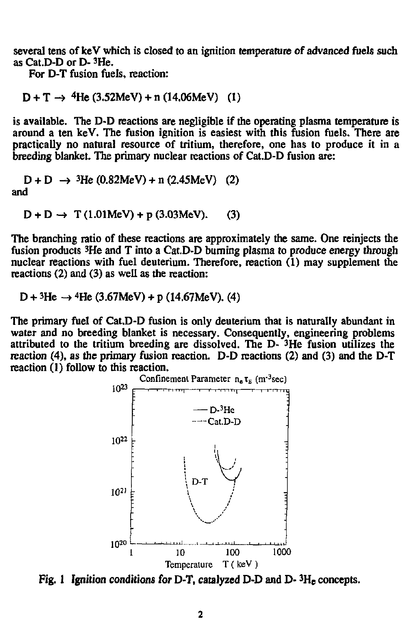**several tens of keV which is closed to an ignition temperature of advanced fuels such**  as Cat.D-D or D-<sup>3</sup>He.

**For D-T fusion fuels, reaction:** 

 $D + T \rightarrow$  <sup>4</sup>He (3.52MeV) + n (14.06MeV) (1)

**is available. The D-D reactions are negligible if the operating plasma temperature is around a ten keV. The fusion ignition is easiest with this fusion fuels. There are practically no natural resource of tritium, therefore, one has to produce it in a breeding blanket. The primary nuclear reactions of Cat.D-D fusion are:** 

 $D + D \rightarrow 3$ He (0.82MeV) + n (2.45MeV) (2) **and** 

 $D + D \rightarrow T (1.01$ MeV $) + p (3.03$ MeV $)$ . (3)

**The branching ratio of these reactions are approximately the same. One reinjects the fusion products <sup>3</sup>He and T into a Cat.D-D burning plasma to produce energy through nuclear reactions with fuel deuterium. Therefore, reaction (1) may supplement die reactions (2) and (3) as well as the reaction:** 

 $D + 3$ He  $\rightarrow$  <sup>4</sup>He (3.67MeV) + p (14.67MeV). (4)

**The primary fuel of Cat.D-D fusion is only deuterium that is naturally abundant in water and no breeding blanket is necessary. Consequently, engineering problems attributed to the tritium breeding are dissolved. The D- <sup>3</sup>He fusion utilizes the reaction (4), as the primary fusion reaction. D-D reactions (2) and (3) and the D-T reaction (1) follow to this reaction.** 



**Fig. 1 Ignition conditions for D-T, catalyzed D-D and D- <sup>3</sup>H<sup>e</sup> concepts.**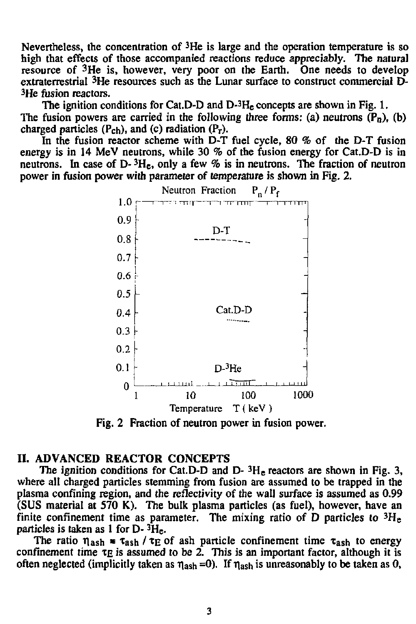**Nevertheless, the concentration of <sup>3</sup>He is large and the operation temperature is so high that effects of those accompanied reactions reduce appreciably. The natural resource of <sup>3</sup>He is, however, very poor on the Earth. One needs to develop extraterrestrial 3He resources such as the Lunar surface to construct commercial D-<sup>3</sup>He fusion reactors.** 

**The ignition conditions for Cat.D-D and D- <sup>3</sup>H<sup>e</sup> concepts are shown in Fig. 1.**  The fusion powers are carried in the following three forms: (a) neutrons  $(P_n)$ , (b) **charged particles (Pch). and (c) radiation (Pr).** 

**In the fusion reactor scheme with D-T fuel cycle, 80 % of the D-T fusion energy is in 14 MeV neutrons, while 30** *%* **of the fusion energy for Cat.D-D is in neutrons. In case of D- <sup>3</sup>H<sup>e</sup> , only a few % is in neutrons. The fraction of neutron power in fusion power with parameter of temperature is shown in Fig. 2.** 



**Fig. 2 Fraction of neutron power in fusion power.** 

#### II. ADVANCED REACTOR CONCEPTS

**The ignition conditions for Cat.D-D and D- <sup>3</sup>H<sup>e</sup> reactors are shown in Fig. 3, where all charged particles stemming from fusion are assumed to be trapped in the plasma confining region, and the reflectivity of the wall surface is assumed as 0.99 (SUS material at 570 K). The bulk plasma particles (as fuel), however, have an finite confinement time as parameter. The mixing ratio of D particles to <sup>3</sup>H<sup>e</sup> particles is taken as 1 for D- <sup>3</sup>H<sup>e</sup> .** 

The ratio  $\eta_{ash}$   $*$   $\tau_{ash}$  /  $\tau_E$  of ash particle confinement time  $\tau_{ash}$  to energy **confinement time TE is assumed to be 2. This is an important factor, although it is**  often neglected (implicitly taken as  $\eta_{\text{ash}} = 0$ ). If  $\eta_{\text{ash}}$  is unreasonably to be taken as 0,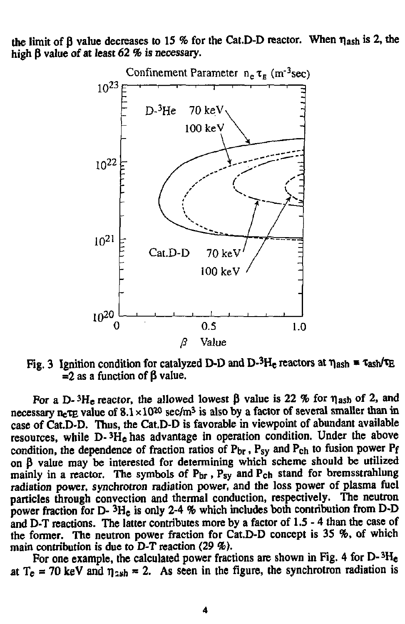the limit of  $\beta$  value decreases to 15 % for the Cat.D-D reactor. When  $\eta_{ash}$  is 2, the **high p value of at least** *62 %* **is necessary.** 



**Fig. 3 Ignition condition for catalyzed D-D and D- <sup>3</sup>H<sup>e</sup> reactors at Tiash \* Tash/tE**   $=$  2 as a function of  $\beta$  value.

For a D-<sup>3</sup>H<sub>e</sub> reactor, the allowed lowest  $\beta$  value is 22 % for  $\eta_{\text{ash}}$  of 2, and necessary net p value of  $8.1 \times 10^{20}$  sec/m<sup>3</sup> is also by a factor of several smaller than in **case of Cat.D-D. Thus, the Cat.D-D is favorable in viewpoint of abundant available resources, while D- <sup>3</sup>H<sup>e</sup> has advantage in operation condition. Under the above condition, the dependence of fraction ratios of Pbr, Psy and Pch to fusion power Pf on p value may be interested for determining which scheme should be utilized mainly in a reactor. The symbols of Pbr, Psy and Pch stand for bremsstrahlung radiation power, synchrotron radiation power, and the loss power of plasma fuel particles through convection and thermal conduction, respectively. The neutron power fraction for D- <sup>3</sup> H <sup>e</sup> is only 2-4 % which includes both contribution from D-D and D-T reactions. The latter contributes more by a factor of 1.5 - 4 than the case of the former. The neutron power fraction for Cat.D-D concept is 35 %, of which main contribution is due to D-T reaction (29** *%).* 

**For one example, the calculated power fractions are shown in Fig. 4 for D- <sup>3</sup>H<sup>e</sup>** at  $T_e = 70$  keV and  $\eta_{2sh} = 2$ . As seen in the figure, the synchrotron radiation is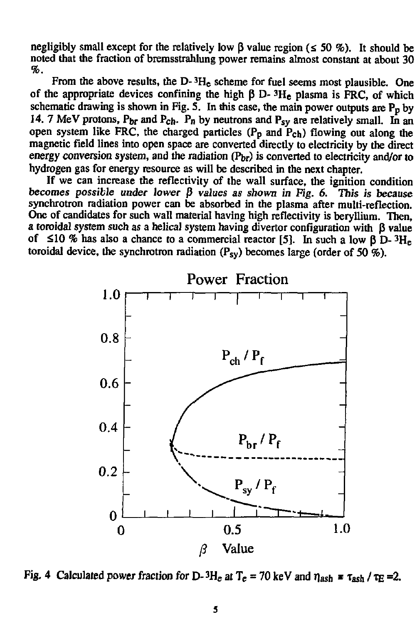negligibly small except for the relatively low  $\beta$  value region ( $\leq 50$  %). It should be **noted that the fraction of bremsstrahlung power remains almost constant at about 30**  *%.* 

**From the above results, the D- 'H<sup>e</sup> scheme for fuel seems most plausible. One**  of the appropriate devices confining the high  $\beta$  D- $^3H_e$  plasma is FRC, of which **schematic drawing is shown in Fig. 5. In this case, the main power outputs are P<sup>p</sup> by**  14. 7 MeV protons,  $P_{\text{br}}$  and  $P_{\text{ch}}$ .  $P_n$  by neutrons and  $P_{\text{sv}}$  are relatively small. In an **open system like FRC, the charged particles (P<sup>p</sup> and Pch) flowing out along the magnetic field lines into open space are converted directly to electricity by the direct**  energy conversion system, and the radiation (P<sub>br</sub>) is converted to electricity and/or to **hydrogen gas for energy resource as will be described in the next chapter.** 

**If we can increase the reflectivity of the wall surface, the ignition condition**  becomes possible under lower  $\beta$  values as shown in Fig. 6. This is because **synchrotron radiation power can be absorbed in the plasma after multi-reflection. One of candidates for such wall material having high reflectivity is beryllium. Then,**  a toroidal system such as a helical system having divertor configuration with  $\beta$  value **of <10 % has also a chance to a commercial reactor [5]. In such a low P D- <sup>3</sup>H<sup>e</sup>** toroidal device, the synchrotron radiation  $(P_{\rm sv})$  becomes large (order of 50 $\frac{1}{2}$ ).



**Fig. 4** Calculated power fraction for D- ${}^{3}H_{e}$  at T<sub>e</sub> = 70 keV and  $\eta_{ash}$  =  $\tau_{ash}$  /  $\tau_{E}$  =2.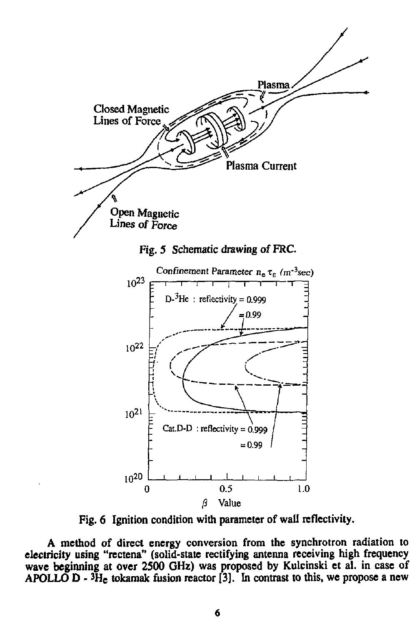

**Fig. 6 Ignition condition with parameter of wall reflectivity.** 

**A method of direct energy conversion from the synchrotron radiation to electricity using "rectena" (solid-state rectifying antenna receiving high frequency wave beginning at over 2500 GHz) was proposed by Kulcinski et al. in case of APOLLO D - 'He tokamak fusion reactor [3]. In contrast to this, we propose a new**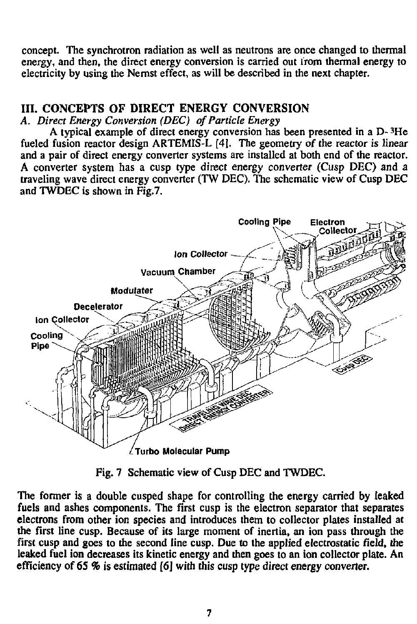**concept. The synchrotron radiation as well as neutrons are once changed to thermal**  energy, and then, the direct energy conversion is carried out from thermal energy to electricity by using the Nernst effect, as will be described in the next chapter.

# **III. CONCEPTS OF DIRECT ENERGY CONVERSION**

*A. Direct Energy Conversion (DEC) of Particle Energy* 

**A typical example of direct energy conversion has been presented in a D- <sup>3</sup>He fueled fusion reactor design ARTEMIS-L [4]. The geometry of the reactor is linear and a pair of direct energy converter systems are installed at both end of the reactor. A converter system has a cusp type direct energy converter (Cusp DEC) and a traveling wave direct energy converter (TW DEC). The schematic view of Cusp DEC and TWDEC is shown in Fig.7.** 



**Fig. 7 Schematic view of Cusp DEC and TWDEC.** 

**The former is a double cusped shape for controlling the energy carried by leaked fuels and ashes components. The first cusp is the electron separator that separates**  electrons from other ion species and introduces them to collector plates installed at **the first line cusp. Because of its large moment of inertia, an ion pass through the first cusp and goes to the second line cusp. Due to the applied electrostatic field, the leaked fuel ion decreases its kinetic energy and then goes to an ion collector plate. An efficiency of 65** *%* **is estimated [6] with this cusp type direct energy converter.**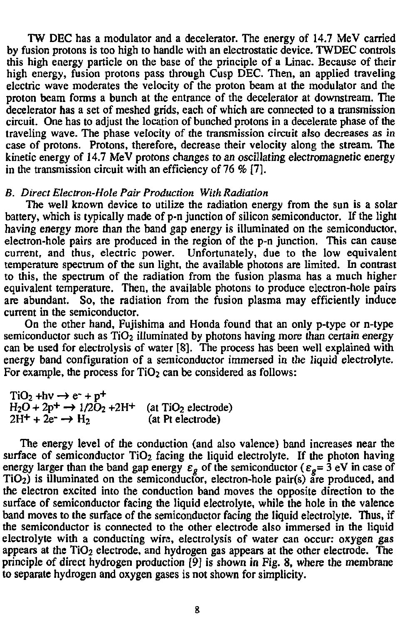TW DEC has a modulator and a decelerator. The energy of 14.7 MeV carried by fusion protons is too high to handle with an electrostatic device. TWDEC controls this high energy particle on the base of the principle of a Linac. Because of their high energy, fusion protons pass through Cusp DEC. Then, an applied traveling electric wave moderates the velocity of the proton beam at the modulator and the proton beam forms a bunch at the entrance of the decelerator at downstream. The decelerator has a set of meshed grids, each of which are connected to a transmission circuit. One has to adjust the location of bunched protons in a decelerate phase of the traveling wave. The phase velocity of the transmission circuit also decreases as in case of protons. Protons, therefore, decrease their velocity along the stream. The kinetic energy of 14.7 MeV protons changes to an oscillating electromagnetic energy in the transmission circuit with an efficiency of 76 % [7].

## *B. Direct Electron-Hole Pair Production With Radiation*

The well known device to utilize the radiation energy from the sun is a solar battery, which is typically made of p-n junction of silicon semiconductor. If the light having energy more than the band gap energy is illuminated on the semiconductor, electron-hole pairs are produced in the region of the p-n junction. This can cause current, and thus, electric power. Unfortunately, due to the low equivalent temperature spectrum of the sun light, the available photons are limited. In contrast to this, the spectrum of the radiation from the fusion plasma has a much higher equivalent temperature. Then, the available photons to produce electron-hole pairs are abundant. So, the radiation from the fusion plasma may efficiently induce current in the semiconductor.

On the other hand, Fujishima and Honda found that an only p-type or n-type semiconductor such as  $TiO<sub>2</sub>$  illuminated by photons having more than certain energy can be used for electrolysis of water [8]. The process has been well explained with energy band configuration of a semiconductor immersed in the liquid electrolyte. For example, the process for  $TiO<sub>2</sub>$  can be considered as follows:

 $TiO<sub>2</sub> + h\nu \rightarrow e^- + p^+$  $H_2O + 2p^+ \rightarrow 1/2O_2 + 2H^+$  (at TiO<sub>2</sub> electrode)  $2H^+ + 2e^- \rightarrow H_2$ (at Pt electrode)

The energy level of the conduction (and also valence) band increases near the surface of semiconductor  $TiO<sub>2</sub>$  facing the liquid electrolyte. If the photon having energy larger than the band gap energy  $\varepsilon_g$  of the semiconductor ( $\varepsilon_g = 3$  eV in case of  $TiO<sub>2</sub>$ ) is illuminated on the semiconductor, electron-hole pair(s) are produced, and the electron excited into the conduction band moves the opposite direction to the surface of semiconductor facing the liquid electrolyte, while the hole in the valence band moves to the surface of the semiconductor facing the liquid electrolyte. Thus, if the semiconductor is connected to the other electrode also immersed in the liquid electrolyte with a conducting wire, electrolysis of water can occur: oxygen gas appears at the  $TiO<sub>2</sub>$  electrode, and hydrogen gas appears at the other electrode. The principle of direct hydrogen production [9] is shown in Fig. 8, where the membrane to separate hydrogen and oxygen gases is not shown for simplicity.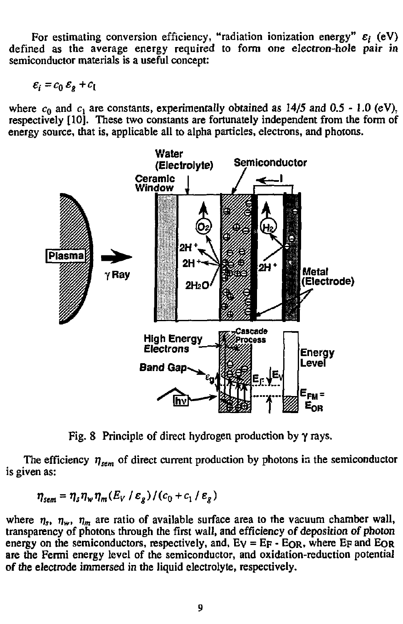For estimating conversion efficiency, "radiation ionization energy"  $\varepsilon_i$  (eV) defined as the average energy required to form one electron-hole pair in semiconductor materials is a useful concept:

$$
\varepsilon_i = c_0 \, \varepsilon_{\rm g} + c_0
$$

where  $c_0$  and  $c_1$  are constants, experimentally obtained as 14/5 and 0.5 - 1.0 (eV), respectively [10]. These two constants are fortunately independent from the form of energy source, that is, applicable all to alpha particles, electrons, and photons.



Fig. 8 Principle of direct hydrogen production by *y* rays.

The efficiency  $\eta_{\text{sum}}$  of direct current production by photons in the semiconductor is given as:

$$
\eta_{sem} = \eta_s \eta_w \eta_m (E_V / \varepsilon_g) / (c_0 + c_1 / \varepsilon_g)
$$

where  $\eta_s$ ,  $\eta_w$ ,  $\eta_m$  are ratio of available surface area to the vacuum chamber wall, transparency of photons through the first wall, and efficiency of deposition of photon energy on the semiconductors, respectively, and,  $E_V = E_F - E_{OR}$ , where  $E_F$  and  $E_{OR}$ are the Fermi energy level of the semiconductor, and oxidation-reduction potential of the electrode immersed in the liquid electrolyte, respectively.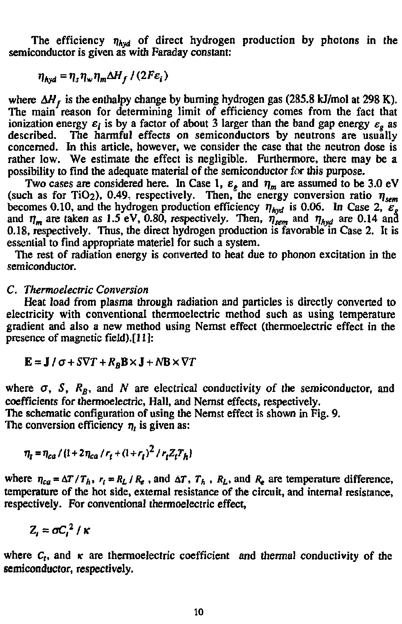The efficiency  $\eta_{hyd}$  of direct hydrogen production by photons in the semiconductor is given as with Faraday constant:

 $\eta_{\text{Awd}} = \eta_s \eta_w \eta_m \Delta H_f / (2Fe_i)$ 

where  $\Delta H_f$  is the enthalpy change by burning hydrogen gas (285.8 kJ/mol at 298 K). The main reason for determining limit of efficiency comes from the fact that ionization energy  $\varepsilon_i$  is by a factor of about 3 larger than the band gap energy  $\varepsilon_q$  as described. The harmful effects on semiconductors by neutrons are usually concerned. In this article, however, we consider the case that the neutron dose is rather low. We estimate the effect is negligible. Furthermore, there may be a possibility to find the adequate material of the semiconductor for this purpose.

Two cases are considered here. In Case 1,  $\varepsilon_{\rho}$  and  $\eta_{m}$  are assumed to be 3.0 eV (such as for TiO<sub>2</sub>), 0.49, respectively. Then, the energy conversion ratio  $\eta_{sem}$  becomes 0.10, and the hydrogen production efficiency  $\eta_{hyd}$  is 0.06. In Case 2,  $\varepsilon_{g}$ and  $\eta_m$  are taken as 1.5 eV, 0.80, respectively. Then,  $\eta'_{sem}$  and  $\eta'_{bwd}$  are 0.14 and 0.18, respectively. Thus, the direct hydrogen production is favorable in Case 2. It is essential to find appropriate materiel for such a system.

The rest of radiation energy is converted to heat due to phonon excitation in the semiconductor.

#### *C. Thermoelectric Conversion*

Heat load from plasma through radiation and particles is directly converted to electricity with conventional thermoelectric method such as using temperature gradient and also a new method using Nernst effect (thermoelectric effect in the presence of magnetic field).[l 1]:

$$
\mathbf{E} = \mathbf{J} / \sigma + S \nabla T + R_B \mathbf{B} \times \mathbf{J} + N \mathbf{B} \times \nabla T
$$

where  $\sigma$ ,  $S$ ,  $R_B$ , and  $N$  are electrical conductivity of the semiconductor, and coefficients for thermoelectric, Hall, and Nernst effects, respectively.

The schematic configuration of using the Nemst effect is shown in Fig. 9.

The conversion efficiency  $\eta_t$  is given as:

$$
\eta_{t} = \eta_{ca} / (1 + 2 \eta_{ca} / r_{t} + (1 + r_{t})^{2} / r_{t} Z_{t} T_{h})
$$

where  $\eta_{ca} = \Delta T/T_h$ ,  $r_t = R_L/R_e$ , and  $\Delta T$ ,  $T_h$ ,  $R_L$ , and  $R_e$  are temperature difference, temperature of the hot side, external resistance of the circuit, and internal resistance, respectively. For conventional thermoelectric effect,

$$
Z_i = \sigma C_i^2 / \kappa
$$

where  $C_t$ , and  $\kappa$  are thermoelectric coefficient and thermal conductivity of the semiconductor, respectively.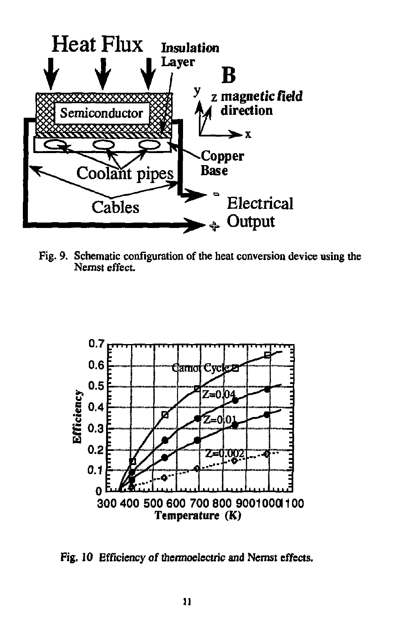

**Fig. 9. Schematic configuration of the heat conversion device using the Nemst effect.** 



**Fig. 10 Efficiency of thermoelectric and Nernst effects.**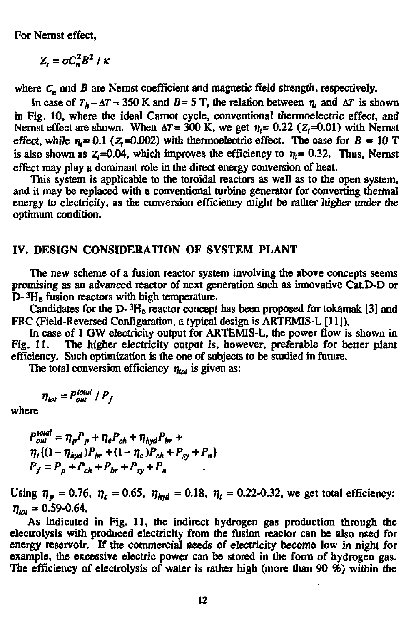**For Nernst effect,** 

$$
Z_t = \sigma C_n^2 B^2 / \kappa
$$

**where** *C<sup>n</sup>*  **and** *B* **are Nemst coefficient and magnetic field strength, respectively.** 

In case of  $T_h - \Delta T = 350$  K and *B* = 5 T, the relation between  $\eta_t$  and  $\Delta T$  is shown **in Fig. 10, where the ideal Camot cycle, conventional thermoelectric effect, and**  Nemst effect are shown. When  $\Delta T = 300$  K, we get  $\eta = 0.22$  (Z,=0.01) with Nernst effect, while  $\eta_i = 0.1$  ( $Z_i = 0.002$ ) with thermoelectric effect. The case for  $B = 10$  T is also shown as  $Z_i$ =0.04, which improves the efficiency to  $\eta_i$ = 0.32. Thus, Nernst effect may play a dominant role in the direct energy conversion of heat.

**This system is applicable to the toroidal reactors as well as to the open system, and it may be replaced with a conventional turbine generator for converting thermal energy to electricity, as the conversion efficiency might be rather higher under the optimum condition.** 

# **IV. DESIGN CONSIDERATION OF SYSTEM PLANT**

**The new scheme of a fusion reactor system involving the above concepts seems promising as an advanced reactor of next generation such as innovative Cat.D-D or D- <sup>3</sup>H<sup>e</sup> fusion reactors with high temperature.** 

**Candidates for the D- <sup>3</sup>H<sup>e</sup> reactor concept has been proposed for tokamak [3] and FRC (Field-Reversed Configuration, a typical design is ARTEMIS-L [11]).** 

In case of 1 GW electricity output for ARTEMIS-L, the power flow is shown in Fig. 11. The higher electricity output is, however, preferable for better plant The higher electricity output is, however, preferable for better plant **efficiency. Such optimization is the one of subjects to be studied in future.** 

**The total conversion efficiency** *n,<sup>a</sup>*  **is given as:** 

$$
\eta_{\omega i} = P_{\omega u}^{\text{total}} / P_f
$$

**where** 

$$
P_{\rho\mu}^{total} = \eta_{\rho} P_{\rho} + \eta_{c} P_{ch} + \eta_{hyd} P_{br} +
$$
  
\n
$$
\eta_{t} \left\{ (1 - \eta_{hyd}) P_{br} + (1 - \eta_{c}) P_{ch} + P_{sy} + P_{n} \right\}
$$
  
\n
$$
P_{f} = P_{p} + P_{ch} + P_{br} + P_{sy} + P_{n}
$$

Using  $\eta_p = 0.76$ ,  $\eta_c = 0.65$ ,  $\eta_{\text{had}} = 0.18$ ,  $\eta_t = 0.22$ -0.32, we get total efficiency: *i}w*  **- 0.59-0.64.** 

**As indicated in Fig. 11, the indirect hydrogen gas production through the electrolysis with produced electricity from the fusion reactor can be also used for energy reservoir. If the commercial needs of electricity become low in night for example, the excessive electric power can be stored in the form of hydrogen gas. The efficiency of electrolysis of water is rather high (more than 90** *%)* **within the**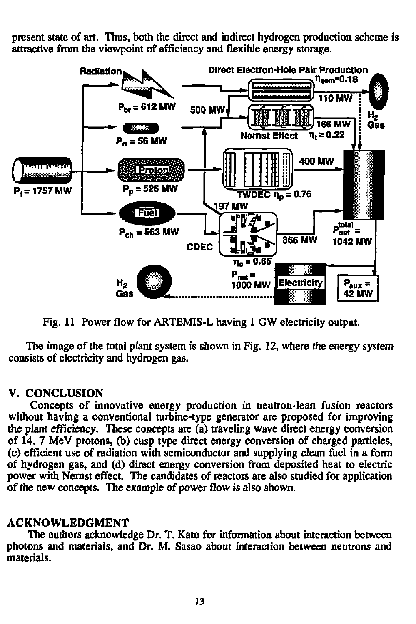present state of art. Thus, both the direct and indirect hydrogen production scheme is attractive from the viewpoint of efficiency and flexible energy storage.



Fig. 11 Power flow for ARTEMIS-L having 1 GW electricity output.

The image of the total plant system is shown in Fig. 12, where the energy system consists of electricity and hydrogen gas.

### V. CONCLUSION

Concepts of innovative energy production in neutron-lean fusion reactors without having a conventional turbine-type generator are proposed for improving the plant efficiency. These concepts are (a) traveling wave direct energy conversion of 14. 7 MeV protons, (b) cusp type direct energy conversion of charged particles, (c) efficient use of radiation with semiconductor and supplying clean fuel in a form of hydrogen gas, and (d) direct energy conversion from deposited heat to electric power with Nemst effect. The candidates of reactors are also studied for application of **the** new concepts. The example of power flow is also shown.

# **ACKNOWLEDGMENT**

The authors acknowledge Dr. T. Kato for information about interaction between photons and materials, and Dr. M. Sasao about interaction between neutrons and materials.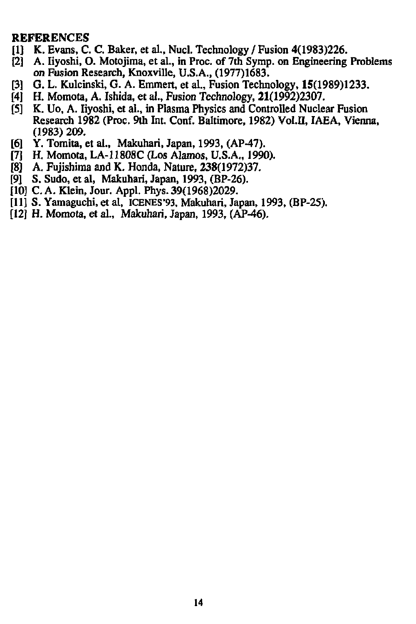## **REFERENCES**

- [I] K. Evans, C. C. Baker, et al., Nucl. Technology / Fusion 4(1983)226.
- A. Iivoshi, O. Motojima, et al., in Proc. of 7th Symp. on Engineering Problems on Fusion Research, Knoxville, U.S.A., (1977)1683.
- [3] G. L. Kulcinski, G. A. Emmert, et al., Fusion Technology, 15(1989)1233.
- [4] H. Momota, A. Ishida, et al., Fusion Technology, 21(1992)2307.
- [5] K. Uo, A. Iiyoshi, et al., in Plasma Physics and Controlled Nuclear Fusion Research 1982 (Proc. 9th Int. Conf. Baltimore, 1982) Vol.II, IAEA, Vienna, (1983) 209.
- [6] Y. Tomita, et al., Makuhari, Japan, 1993, (AP-47).
- [7] H. Momota, LA-11808C (Los Alamos, U.S.A., 1990).
- [8] A. Fujishima and K. Honda, Nature, 238(1972)37.
- [9] S. Sudo, et al, Makuhari, Japan, 1993, (BP-26).
- [10] C. A. Klein, Jour. Appl. Phys. 39(1968)2029.
- [II] S. Yamaguchi, et al, ICENES'93, Makuhari, Japan, 1993, (BP-25).
- [12] H. Momota, et al., Makuhari, Japan, 1993, (AP-46).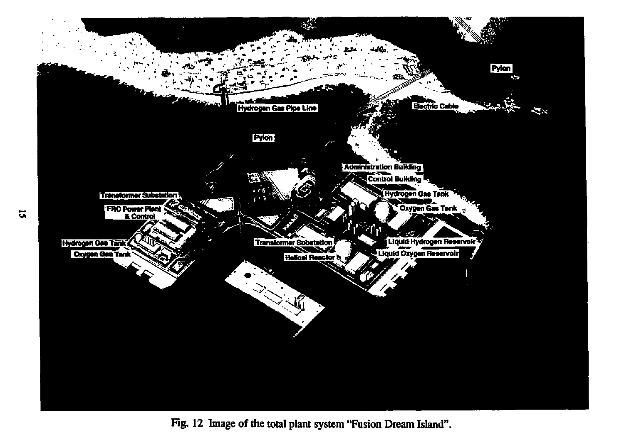

**Fig. 12 Image of the total plant system "Fusion Dream Island".**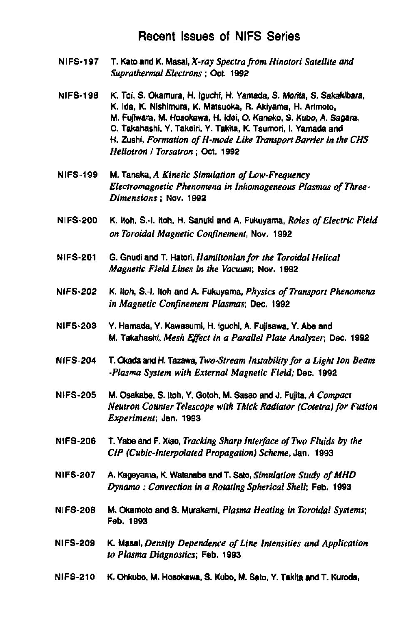# **Recent Issues of NIFS Series**

- **NIFS-197 T. Kato and K. Masai,** *X-ray Spectra from Hinotori Satellite and Suprathermal Electrons***; Oct. 1992**
- **NIFS-198 K. Toi, S. Okamura, H. Iguchi, H. Yamada, S. Morita, S. Sakaklbara, K. Ida, K. Nishimura, K. Matsuoka, R. Aklyama, H. Arlmoto, M. Fujlwara, M. Hosokawa, H. Idei, O. Kaneko, S. Kubo, A. Sagara, C. Takahashi, Y. Takeiri, Y. Takita, K. Tsumori, I. Yamada and H. Zushi,** *Formation ofH-mode Like Transport Barrier in the CHS Heliotron I Torsatron;* **Oct. 1992**
- **NIFS-199 M. Tanaka.A** *Kinetic Simulation of Low-Frequency Electromagnetic Phenomena in Inhomogeneous Plasmas of Three-Dimensions;* **Nov. 1992**
- **NIFS-200 K. Itoh, S.-l. Itoh, H. SanukI and A. Fukuyama,** *Roles of Electric Field on Toroidal Magnetic Confinement,* **Nov. 1992**
- **NIFS-201 G. Gnudi and T. Hatori,** *Hamiltonianfor the Toroidal Helical Magnetic Field Lines in the Vacuum;* **Nov. 1992**
- **NIFS-202 K. Itoh, S.-l. Itoh and A. Fukuyama,** *Physics of Transport Phenomena in Magnetic Confinement Plasmas;* **Dec. 1992**
- **NIFS-203 Y. Hamada, Y. Kawasumi, H. Iguchl, A. Fujlsawa, Y. Abe and M. Takahashi,** *Mesh Effect in a Parallel Plate Analyser,* **Dec. 1992**
- **NIFS-204 T. Okadaand H. Tazawa,** *Two-Stream Instability for a Light Ion Beam •Plasma System with External Magnetic Field;* **Dec. 1992**
- **NIFS-205 M. Osakabe, S. Itoh, Y. Gotoh, M. Sasao and J. Fujita,** *A Compact Neutron Counter Telescope with Thick Radiator (Cotetra) for Fusion Experiment;* **Jan. 1993**
- **NIFS-206 T. Yabe and F. Xiao,** *Tracking Sharp Interface of Two Fluids by the C1P (Cubic-Interpolated Propagation) Scheme,* **Jan. 1993**
- **NIFS-207 A. Kageyama, K. Watanabe andT. Sato,** *Simulation Study ofMHD Dynamo : Convection in a Rotating Spherical Shell;* **Feb. 1993**
- **NIFS-206 M. Okamoto and S. Murakami,** *Plasma Heating in Toroidal Systems;*  **Feb. 1993**
- **NIFS-209 K. Masai,** *Density Dependence of Line Intensities and Application to Plasma Diagnostics;* **Feb. 1993**
- **NIFS-210 K. Ohkubo, M. Hosokawa, S. Kubo, M. Sato, Y. Takita and T. Kuroda,**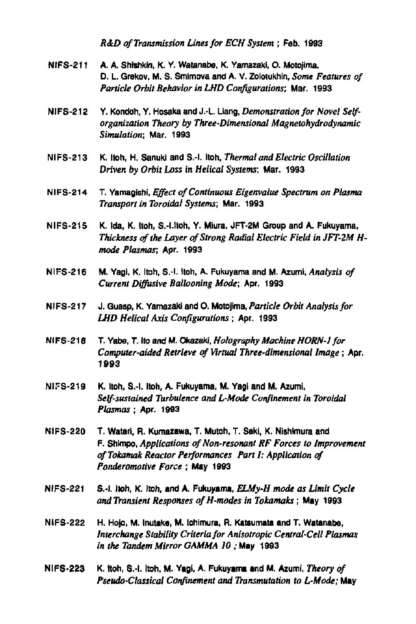*R&D of Transmission Lines for ECH System ;* Feb. 1993

- **NIFS-211 A. A. SMshkin, K. Y. Watanabe, K. Yamazaki, O. Motojima, D. L. Grekov, M. S. Smlrnova and A. V. Zolotukhin,** *Some Features of Particle Orbit Behavior in LHD Configurations;* Mar. 1993
- **NIFS-212 Y. Kondoh, Y. Hosaka and J.-L. Liang,** *Demonstration for Novel Selforganization Theory by Three-Dimensional Magnetohydrodynamic Simulation;* Mar. 1993
- **NIFS-213 K. Itoh, H. Sanuki and S.-l. Itoh,** *Thermal and Electric Oscillation Driven by Orbit Loss in Helical Systems;* Mar. 1993
- NIFS-214 T. Yamagishi, *Effect of Continuous Eigenvalue Spectrum on Plasma Transport in Toroidal Systems;* Mar. 1993
- **NIFS-215 K. Ida, K. Itoh, S.-I.ltoh, Y. Miura, JFT-2M Group and A. Fukuyama,**  *Thickness of the Layer of Strong Radial Electric Field in JFT-2M Hmode Plasmas;* Apr. 1993
- **NIFS-216 M. Yagi, K. Itoh, S.-l. Itoh, A. Fukuyama and M. Azumi,** *Analysis of Current Diffusive Ballooning Mode;* Apr. 1993
- **NIFS-217 J. Guasp, K. Yamazaki and O. Motojima,** *Particle Orbit Analysis for LHD Helical Axis Configurations;* Apr. 1993
- **NIFS-218 T. Yabe, T. Ho and M. Okazaki,** *Holography Machine HORN-1 for Computer-aided Retrieve of Virtual Three-dimensional Image;* Apr. **1993**
- **NIFS-219 K. Itoh, S.-l. Itoh, A. Fukuyama, M. Yagi and M. Azuml,**  *Self-sustained Turbulence and L-Mode Confinement in Toroidal Plasmas;* **Apr. 1993**
- **NIFS-220 T. Watari, R. Kumazawa, T. Mutoh. T. Seki, K. Nishimura and**  F. Shimpo, *Applications of Non-resonant RF Forces to Improvement ofTokamak Reactor Performances Part 1: Application of Ponderomotive Force* ; May 1993
- **NIFS-221 S.-I. lion, K. Itoh, and A. Fukuyama,** *ELMy-H mode as Limit Cycle and Transient Responses ofH-modes in Tokamaks*; **May** 1993
- **NIFS-222 H. Hojo, M. Inutake, M. Ichlmura, R. Katsumata and T. Watanabe,**  *Interchange Stability Criteria for Anisotropic Central-Cell Plasmas in the Tandem Mirror GAMMA 10 ;* May 1993
- **NIFS-223 K. Itoh, S.-l. Itoh, M. Yagi, A. Fukuyama and M. Azumi,** *Theory of Pseudo-Classical Confinement and Transmutation to L-Mode;* **May**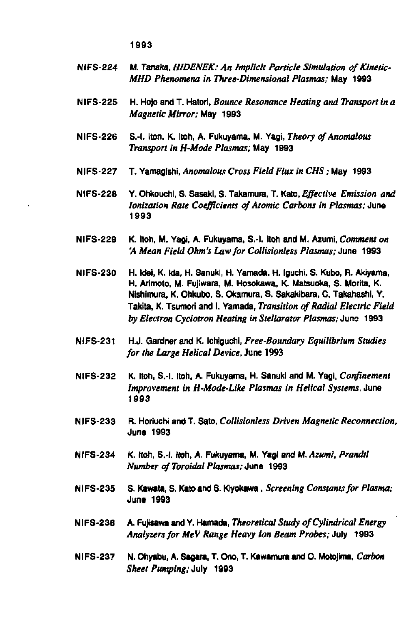**1993** 

- **NIFS-224 M. Tanaka,** *HIDENEK: An Implicit Particle Simulation of Kinetic-MHD Phenomena in Three-Dimensional Plasmas:* **May 1993**
- **NIFS-225 H. Hojo and T. Hatori,** *Bounce Resonance Heating and Transport in a Magnetic Mirror;* **May 1993**
- **NIFS-226 S.-l. Iton, K. Itoh, A. Fukuyama, M. Yagi,** *Theory of Anomalous Transport in H-Mode Plasmas;* **May 1993**
- **NIFS-227 T. Yamaglshi,** *Anomalous Cross FieldFlux in CHS;* **May 1993**
- **NIFS-228 Y. Ohkouchi, S. Sasaki, S. Takamura, T. Kato,** *Effective Emission and Ionization Rate Coefficients of Atomic Carbons in Plasmas;* **June 1993**
- **NIFS-229 K. Itoh, M. Yagi, A. Fukuyama, S.-l. Itoh and M. Azumi,** *Comment on 'A Mean Field Ohm's Law for Collisionless Plasmas;* **June 1993**
- **NIFS-230 H. Wei, K. Ida, H. Sanuki, H. Yamada. H. Iguchi, S. Kubo, R. Akiyama, H. Arimoto, M. Fujlwaia, M. Hosokawa, K. Matsuoka, S. Morita, K. Nlshimura, K. Ohkubo, S. Okamura, S. Sakakibara, C. Takahashl, Y. Takita, K. Tsumori and I. Yamada,** *Transition of Radial Electric Field by Electron Cyclotron Heating in Stellarator Plasmas;* **June 1993**
- **NIFS-231 HJ. Gardner and K. Ichiguchi,** *Free-Boundary Equilibrium Studies for the Large Helical Device,* **June 1993**
- **NIFS-232 K. Itoh, S.-l. Itoh, A. Fukuyama, H. Sanuki and M. Yagi,** *Confinement Improvement in H-Mode-Like Plasmas in Helical Systems,* **June 1993**
- **NIFS-233 R. Horiuchi and T. Sato,** *Collisionless Driven Magnetic Reconnection,*  **June 1993**
- **NIFS-234 K. Hod, S.-l. Itoh, A. Fukuyama, M. Yagi and M.** *Azumi, Prandtl Number of Toroidal Plasmas;* **June 1993**
- **NIFS-235 S. Kawata, S. Kato and S. Kiyokawa,** *Screening Constants for Plasma;*  **June 1993**
- **NIFS-236 A.FuJtawaandY.Hamada, Tteowrica/** *Study of Cylindrical Energy Analyzers for MeV Range Heavy Ion Beam Probes;* **July 1993**
- **NIFS-237 N. Ohyabu, A. Sagara, T. Ono, T. Kawamura and O. Motojlma,** *Carbon Sheet Pumping; July* 1993